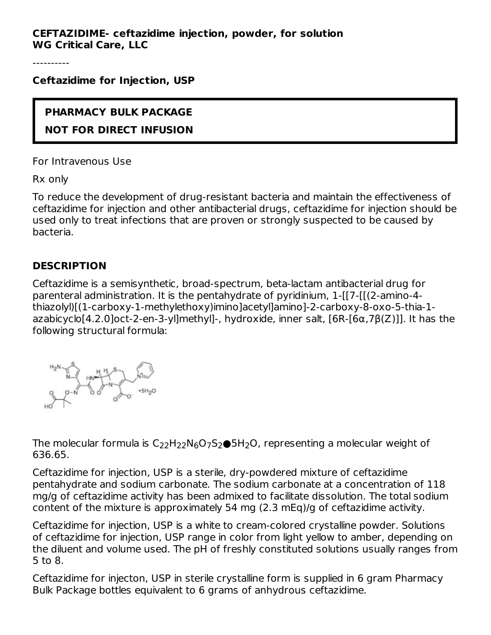----------

**Ceftazidime for Injection, USP**

# **PHARMACY BULK PACKAGE NOT FOR DIRECT INFUSION**

For Intravenous Use

Rx only

To reduce the development of drug-resistant bacteria and maintain the effectiveness of ceftazidime for injection and other antibacterial drugs, ceftazidime for injection should be used only to treat infections that are proven or strongly suspected to be caused by bacteria.

## **DESCRIPTION**

Ceftazidime is a semisynthetic, broad-spectrum, beta-lactam antibacterial drug for parenteral administration. It is the pentahydrate of pyridinium, 1-[[7-[[(2-amino-4 thiazolyl)[(1-carboxy-1-methylethoxy)imino]acetyl]amino]-2-carboxy-8-oxo-5-thia-1 azabicyclo[4.2.0]oct-2-en-3-yl]methyl]-, hydroxide, inner salt, [6R-[6α,7β(Z)]]. It has the following structural formula:



The molecular formula is  $\mathsf{C}_{22}\mathsf{H}_{22}\mathsf{N}_{6}\mathsf{O}_7\mathsf{S}_2\bullet$ 5H $_2$ O, representing a molecular weight of 636.65.

Ceftazidime for injection, USP is a sterile, dry-powdered mixture of ceftazidime pentahydrate and sodium carbonate. The sodium carbonate at a concentration of 118 mg/g of ceftazidime activity has been admixed to facilitate dissolution. The total sodium content of the mixture is approximately 54 mg (2.3 mEq)/g of ceftazidime activity.

Ceftazidime for injection, USP is a white to cream-colored crystalline powder. Solutions of ceftazidime for injection, USP range in color from light yellow to amber, depending on the diluent and volume used. The pH of freshly constituted solutions usually ranges from 5 to 8.

Ceftazidime for injecton, USP in sterile crystalline form is supplied in 6 gram Pharmacy Bulk Package bottles equivalent to 6 grams of anhydrous ceftazidime.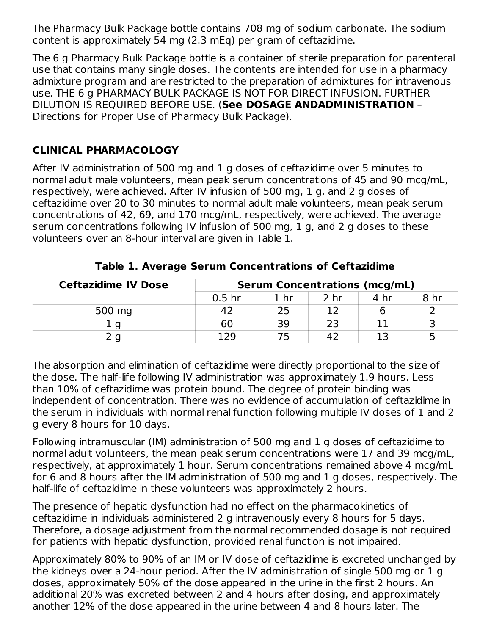The Pharmacy Bulk Package bottle contains 708 mg of sodium carbonate. The sodium content is approximately 54 mg (2.3 mEq) per gram of ceftazidime.

The 6 g Pharmacy Bulk Package bottle is a container of sterile preparation for parenteral use that contains many single doses. The contents are intended for use in a pharmacy admixture program and are restricted to the preparation of admixtures for intravenous use. THE 6 g PHARMACY BULK PACKAGE IS NOT FOR DIRECT INFUSION. FURTHER DILUTION IS REQUIRED BEFORE USE. (**See DOSAGE ANDADMINISTRATION** – Directions for Proper Use of Pharmacy Bulk Package).

## **CLINICAL PHARMACOLOGY**

After IV administration of 500 mg and 1 g doses of ceftazidime over 5 minutes to normal adult male volunteers, mean peak serum concentrations of 45 and 90 mcg/mL, respectively, were achieved. After IV infusion of 500 mg, 1 g, and 2 g doses of ceftazidime over 20 to 30 minutes to normal adult male volunteers, mean peak serum concentrations of 42, 69, and 170 mcg/mL, respectively, were achieved. The average serum concentrations following IV infusion of 500 mg, 1 g, and 2 g doses to these volunteers over an 8-hour interval are given in Table 1.

| <b>Ceftazidime IV Dose</b> |                   |      | <b>Serum Concentrations (mcg/mL)</b> |      |      |
|----------------------------|-------------------|------|--------------------------------------|------|------|
|                            | 0.5 <sub>hr</sub> | 1 hr | 2 <sub>hr</sub>                      | 4 hr | 8 hr |
| 500 mg                     |                   | 25   |                                      |      |      |
|                            | 60                | 39   | つっ                                   |      |      |
|                            | 129               |      |                                      |      |      |

**Table 1. Average Serum Concentrations of Ceftazidime**

The absorption and elimination of ceftazidime were directly proportional to the size of the dose. The half-life following IV administration was approximately 1.9 hours. Less than 10% of ceftazidime was protein bound. The degree of protein binding was independent of concentration. There was no evidence of accumulation of ceftazidime in the serum in individuals with normal renal function following multiple IV doses of 1 and 2 g every 8 hours for 10 days.

Following intramuscular (IM) administration of 500 mg and 1 g doses of ceftazidime to normal adult volunteers, the mean peak serum concentrations were 17 and 39 mcg/mL, respectively, at approximately 1 hour. Serum concentrations remained above 4 mcg/mL for 6 and 8 hours after the IM administration of 500 mg and 1 g doses, respectively. The half-life of ceftazidime in these volunteers was approximately 2 hours.

The presence of hepatic dysfunction had no effect on the pharmacokinetics of ceftazidime in individuals administered 2 g intravenously every 8 hours for 5 days. Therefore, a dosage adjustment from the normal recommended dosage is not required for patients with hepatic dysfunction, provided renal function is not impaired.

Approximately 80% to 90% of an IM or IV dose of ceftazidime is excreted unchanged by the kidneys over a 24-hour period. After the IV administration of single 500 mg or 1 g doses, approximately 50% of the dose appeared in the urine in the first 2 hours. An additional 20% was excreted between 2 and 4 hours after dosing, and approximately another 12% of the dose appeared in the urine between 4 and 8 hours later. The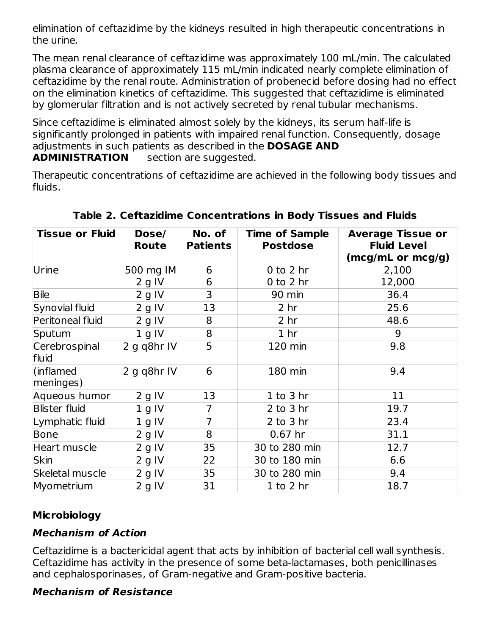elimination of ceftazidime by the kidneys resulted in high therapeutic concentrations in the urine.

The mean renal clearance of ceftazidime was approximately 100 mL/min. The calculated plasma clearance of approximately 115 mL/min indicated nearly complete elimination of ceftazidime by the renal route. Administration of probenecid before dosing had no effect on the elimination kinetics of ceftazidime. This suggested that ceftazidime is eliminated by glomerular filtration and is not actively secreted by renal tubular mechanisms.

Since ceftazidime is eliminated almost solely by the kidneys, its serum half-life is significantly prolonged in patients with impaired renal function. Consequently, dosage adjustments in such patients as described in the **DOSAGE AND ADMINISTRATION** section are suggested.

Therapeutic concentrations of ceftazidime are achieved in the following body tissues and fluids.

| <b>Tissue or Fluid</b> | Dose/<br><b>Route</b> | No. of<br><b>Patients</b> | <b>Time of Sample</b><br><b>Postdose</b> | <b>Average Tissue or</b><br><b>Fluid Level</b><br>(mcg/mL or mcg/g) |
|------------------------|-----------------------|---------------------------|------------------------------------------|---------------------------------------------------------------------|
| Urine                  | 500 mg IM             | 6                         | $0$ to $2$ hr                            | 2,100                                                               |
|                        | 2 g IV                | 6                         | $0$ to $2$ hr                            | 12,000                                                              |
| <b>Bile</b>            | $2$ g IV              | 3                         | 90 min                                   | 36.4                                                                |
| Synovial fluid         | $2$ g IV              | 13                        | 2 <sub>hr</sub>                          | 25.6                                                                |
| Peritoneal fluid       | 2 g IV                | 8                         | 2 <sub>hr</sub>                          | 48.6                                                                |
| Sputum                 | 1 g IV                | 8                         | 1 <sub>hr</sub>                          | 9                                                                   |
| Cerebrospinal<br>fluid | 2 g q8hr IV           | 5                         | 120 min                                  | 9.8                                                                 |
| (inflamed<br>meninges) | 2 g q8hr IV           | 6                         | 180 min                                  | 9.4                                                                 |
| Aqueous humor          | $2$ g IV              | 13                        | $1$ to $3$ hr                            | 11                                                                  |
| <b>Blister fluid</b>   | 1 g IV                | 7                         | $2$ to $3$ hr                            | 19.7                                                                |
| Lymphatic fluid        | 1 g IV                | $\overline{7}$            | $2$ to $3$ hr                            | 23.4                                                                |
| Bone                   | $2$ g IV              | 8                         | $0.67$ hr                                | 31.1                                                                |
| Heart muscle           | $2$ g IV              | 35                        | 30 to 280 min                            | 12.7                                                                |
| <b>Skin</b>            | 2 g IV                | 22                        | 30 to 180 min                            | 6.6                                                                 |
| Skeletal muscle        | 2 g IV                | 35                        | 30 to 280 min                            | 9.4                                                                 |
| Myometrium             | 2 g IV                | 31                        | $1$ to $2$ hr                            | 18.7                                                                |

**Table 2. Ceftazidime Concentrations in Body Tissues and Fluids**

# **Microbiology**

## **Mechanism of Action**

Ceftazidime is a bactericidal agent that acts by inhibition of bacterial cell wall synthesis. Ceftazidime has activity in the presence of some beta-lactamases, both penicillinases and cephalosporinases, of Gram-negative and Gram-positive bacteria.

## **Mechanism of Resistance**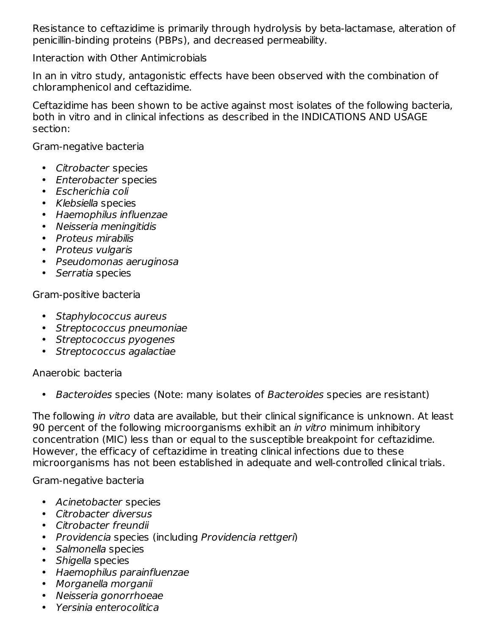Resistance to ceftazidime is primarily through hydrolysis by beta-lactamase, alteration of penicillin-binding proteins (PBPs), and decreased permeability.

Interaction with Other Antimicrobials

In an in vitro study, antagonistic effects have been observed with the combination of chloramphenicol and ceftazidime.

Ceftazidime has been shown to be active against most isolates of the following bacteria, both in vitro and in clinical infections as described in the INDICATIONS AND USAGE section:

Gram-negative bacteria

- Citrobacter species
- Enterobacter species
- Escherichia coli
- Klebsiella species
- Haemophilus influenzae
- Neisseria meningitidis
- Proteus mirabilis
- Proteus vulgaris
- Pseudomonas aeruginosa
- Serratia species

Gram-positive bacteria

- Staphylococcus aureus
- Streptococcus pneumoniae
- Streptococcus pyogenes
- Streptococcus agalactiae

Anaerobic bacteria

• Bacteroides species (Note: many isolates of Bacteroides species are resistant)

The following in vitro data are available, but their clinical significance is unknown. At least 90 percent of the following microorganisms exhibit an *in vitro* minimum inhibitory concentration (MIC) less than or equal to the susceptible breakpoint for ceftazidime. However, the efficacy of ceftazidime in treating clinical infections due to these microorganisms has not been established in adequate and well-controlled clinical trials.

Gram-negative bacteria

- Acinetobacter species
- Citrobacter diversus
- Citrobacter freundii
- Providencia species (including Providencia rettgeri)
- Salmonella species
- Shigella species
- Haemophilus parainfluenzae
- Morganella morganii
- Neisseria gonorrhoeae
- Yersinia enterocolitica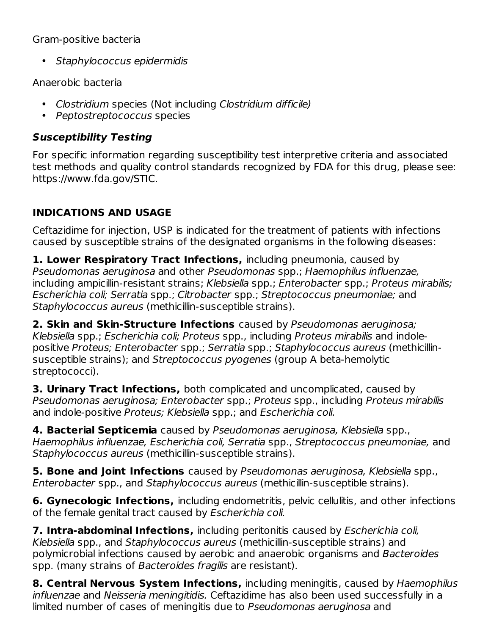### Gram-positive bacteria

• Staphylococcus epidermidis

Anaerobic bacteria

- Clostridium species (Not including Clostridium difficile)
- Peptostreptococcus species

# **Susceptibility Testing**

For specific information regarding susceptibility test interpretive criteria and associated test methods and quality control standards recognized by FDA for this drug, please see: https://www.fda.gov/STIC.

# **INDICATIONS AND USAGE**

Ceftazidime for injection, USP is indicated for the treatment of patients with infections caused by susceptible strains of the designated organisms in the following diseases:

**1. Lower Respiratory Tract Infections,** including pneumonia, caused by Pseudomonas aeruginosa and other Pseudomonas spp.; Haemophilus influenzae, including ampicillin-resistant strains; Klebsiella spp.; Enterobacter spp.; Proteus mirabilis; Escherichia coli; Serratia spp.; Citrobacter spp.; Streptococcus pneumoniae; and Staphylococcus aureus (methicillin-susceptible strains).

**2. Skin and Skin-Structure Infections** caused by Pseudomonas aeruginosa; Klebsiella spp.; Escherichia coli; Proteus spp., including Proteus mirabilis and indolepositive Proteus; Enterobacter spp.; Serratia spp.; Staphylococcus aureus (methicillinsusceptible strains); and Streptococcus pyogenes (group A beta-hemolytic streptococci).

**3. Urinary Tract Infections,** both complicated and uncomplicated, caused by Pseudomonas aeruginosa; Enterobacter spp.; Proteus spp., including Proteus mirabilis and indole-positive Proteus; Klebsiella spp.; and Escherichia coli.

**4. Bacterial Septicemia** caused by Pseudomonas aeruginosa, Klebsiella spp., Haemophilus influenzae, Escherichia coli, Serratia spp., Streptococcus pneumoniae, and Staphylococcus aureus (methicillin-susceptible strains).

**5. Bone and Joint Infections** caused by Pseudomonas aeruginosa, Klebsiella spp., Enterobacter spp., and Staphylococcus aureus (methicillin-susceptible strains).

**6. Gynecologic Infections,** including endometritis, pelvic cellulitis, and other infections of the female genital tract caused by Escherichia coli.

**7. Intra-abdominal Infections,** including peritonitis caused by Escherichia coli, Klebsiella spp., and Staphylococcus aureus (methicillin-susceptible strains) and polymicrobial infections caused by aerobic and anaerobic organisms and Bacteroides spp. (many strains of Bacteroides fragilis are resistant).

**8. Central Nervous System Infections,** including meningitis, caused by Haemophilus influenzae and Neisseria meningitidis. Ceftazidime has also been used successfully in a limited number of cases of meningitis due to Pseudomonas aeruginosa and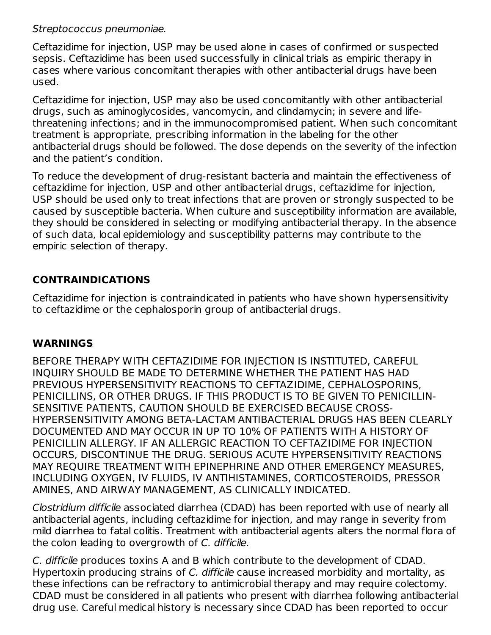#### Streptococcus pneumoniae.

Ceftazidime for injection, USP may be used alone in cases of confirmed or suspected sepsis. Ceftazidime has been used successfully in clinical trials as empiric therapy in cases where various concomitant therapies with other antibacterial drugs have been used.

Ceftazidime for injection, USP may also be used concomitantly with other antibacterial drugs, such as aminoglycosides, vancomycin, and clindamycin; in severe and lifethreatening infections; and in the immunocompromised patient. When such concomitant treatment is appropriate, prescribing information in the labeling for the other antibacterial drugs should be followed. The dose depends on the severity of the infection and the patient's condition.

To reduce the development of drug-resistant bacteria and maintain the effectiveness of ceftazidime for injection, USP and other antibacterial drugs, ceftazidime for injection, USP should be used only to treat infections that are proven or strongly suspected to be caused by susceptible bacteria. When culture and susceptibility information are available, they should be considered in selecting or modifying antibacterial therapy. In the absence of such data, local epidemiology and susceptibility patterns may contribute to the empiric selection of therapy.

## **CONTRAINDICATIONS**

Ceftazidime for injection is contraindicated in patients who have shown hypersensitivity to ceftazidime or the cephalosporin group of antibacterial drugs.

## **WARNINGS**

BEFORE THERAPY WITH CEFTAZIDIME FOR INJECTION IS INSTITUTED, CAREFUL INQUIRY SHOULD BE MADE TO DETERMINE WHETHER THE PATIENT HAS HAD PREVIOUS HYPERSENSITIVITY REACTIONS TO CEFTAZIDIME, CEPHALOSPORINS, PENICILLINS, OR OTHER DRUGS. IF THIS PRODUCT IS TO BE GIVEN TO PENICILLIN-SENSITIVE PATIENTS, CAUTION SHOULD BE EXERCISED BECAUSE CROSS-HYPERSENSITIVITY AMONG BETA-LACTAM ANTIBACTERIAL DRUGS HAS BEEN CLEARLY DOCUMENTED AND MAY OCCUR IN UP TO 10% OF PATIENTS WITH A HISTORY OF PENICILLIN ALLERGY. IF AN ALLERGIC REACTION TO CEFTAZIDIME FOR INJECTION OCCURS, DISCONTINUE THE DRUG. SERIOUS ACUTE HYPERSENSITIVITY REACTIONS MAY REQUIRE TREATMENT WITH EPINEPHRINE AND OTHER EMERGENCY MEASURES, INCLUDING OXYGEN, IV FLUIDS, IV ANTIHISTAMINES, CORTICOSTEROIDS, PRESSOR AMINES, AND AIRWAY MANAGEMENT, AS CLINICALLY INDICATED.

Clostridium difficile associated diarrhea (CDAD) has been reported with use of nearly all antibacterial agents, including ceftazidime for injection, and may range in severity from mild diarrhea to fatal colitis. Treatment with antibacterial agents alters the normal flora of the colon leading to overgrowth of C. difficile.

C. difficile produces toxins A and B which contribute to the development of CDAD. Hypertoxin producing strains of C. difficile cause increased morbidity and mortality, as these infections can be refractory to antimicrobial therapy and may require colectomy. CDAD must be considered in all patients who present with diarrhea following antibacterial drug use. Careful medical history is necessary since CDAD has been reported to occur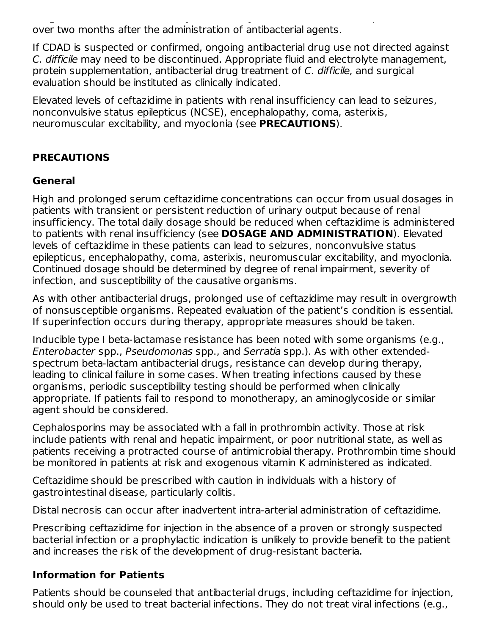drug use. Careful medical history is necessary since CDAD has been reported to occur over two months after the administration of antibacterial agents.

If CDAD is suspected or confirmed, ongoing antibacterial drug use not directed against C. difficile may need to be discontinued. Appropriate fluid and electrolyte management, protein supplementation, antibacterial drug treatment of C. difficile, and surgical evaluation should be instituted as clinically indicated.

Elevated levels of ceftazidime in patients with renal insufficiency can lead to seizures, nonconvulsive status epilepticus (NCSE), encephalopathy, coma, asterixis, neuromuscular excitability, and myoclonia (see **PRECAUTIONS**).

# **PRECAUTIONS**

### **General**

High and prolonged serum ceftazidime concentrations can occur from usual dosages in patients with transient or persistent reduction of urinary output because of renal insufficiency. The total daily dosage should be reduced when ceftazidime is administered to patients with renal insufficiency (see **DOSAGE AND ADMINISTRATION**). Elevated levels of ceftazidime in these patients can lead to seizures, nonconvulsive status epilepticus, encephalopathy, coma, asterixis, neuromuscular excitability, and myoclonia. Continued dosage should be determined by degree of renal impairment, severity of infection, and susceptibility of the causative organisms.

As with other antibacterial drugs, prolonged use of ceftazidime may result in overgrowth of nonsusceptible organisms. Repeated evaluation of the patient's condition is essential. If superinfection occurs during therapy, appropriate measures should be taken.

Inducible type I beta-lactamase resistance has been noted with some organisms (e.g., Enterobacter spp., Pseudomonas spp., and Serratia spp.). As with other extendedspectrum beta-lactam antibacterial drugs, resistance can develop during therapy, leading to clinical failure in some cases. When treating infections caused by these organisms, periodic susceptibility testing should be performed when clinically appropriate. If patients fail to respond to monotherapy, an aminoglycoside or similar agent should be considered.

Cephalosporins may be associated with a fall in prothrombin activity. Those at risk include patients with renal and hepatic impairment, or poor nutritional state, as well as patients receiving a protracted course of antimicrobial therapy. Prothrombin time should be monitored in patients at risk and exogenous vitamin K administered as indicated.

Ceftazidime should be prescribed with caution in individuals with a history of gastrointestinal disease, particularly colitis.

Distal necrosis can occur after inadvertent intra-arterial administration of ceftazidime.

Prescribing ceftazidime for injection in the absence of a proven or strongly suspected bacterial infection or a prophylactic indication is unlikely to provide benefit to the patient and increases the risk of the development of drug-resistant bacteria.

## **Information for Patients**

Patients should be counseled that antibacterial drugs, including ceftazidime for injection, should only be used to treat bacterial infections. They do not treat viral infections (e.g.,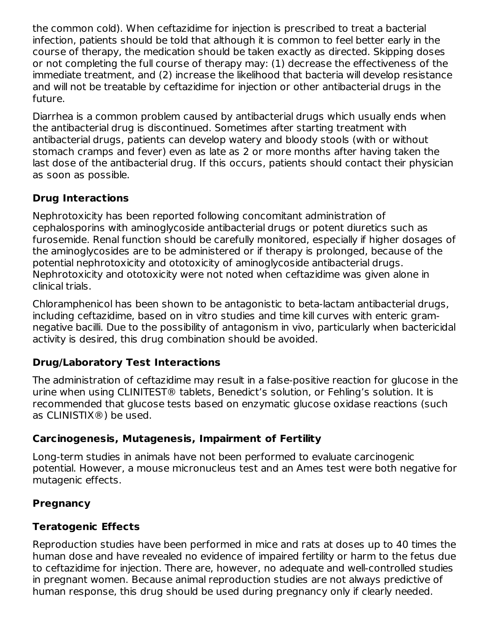the common cold). When ceftazidime for injection is prescribed to treat a bacterial infection, patients should be told that although it is common to feel better early in the course of therapy, the medication should be taken exactly as directed. Skipping doses or not completing the full course of therapy may: (1) decrease the effectiveness of the immediate treatment, and (2) increase the likelihood that bacteria will develop resistance and will not be treatable by ceftazidime for injection or other antibacterial drugs in the future.

Diarrhea is a common problem caused by antibacterial drugs which usually ends when the antibacterial drug is discontinued. Sometimes after starting treatment with antibacterial drugs, patients can develop watery and bloody stools (with or without stomach cramps and fever) even as late as 2 or more months after having taken the last dose of the antibacterial drug. If this occurs, patients should contact their physician as soon as possible.

# **Drug Interactions**

Nephrotoxicity has been reported following concomitant administration of cephalosporins with aminoglycoside antibacterial drugs or potent diuretics such as furosemide. Renal function should be carefully monitored, especially if higher dosages of the aminoglycosides are to be administered or if therapy is prolonged, because of the potential nephrotoxicity and ototoxicity of aminoglycoside antibacterial drugs. Nephrotoxicity and ototoxicity were not noted when ceftazidime was given alone in clinical trials.

Chloramphenicol has been shown to be antagonistic to beta-lactam antibacterial drugs, including ceftazidime, based on in vitro studies and time kill curves with enteric gramnegative bacilli. Due to the possibility of antagonism in vivo, particularly when bactericidal activity is desired, this drug combination should be avoided.

## **Drug/Laboratory Test Interactions**

The administration of ceftazidime may result in a false-positive reaction for glucose in the urine when using CLINITEST® tablets, Benedict's solution, or Fehling's solution. It is recommended that glucose tests based on enzymatic glucose oxidase reactions (such as CLINISTIX®) be used.

## **Carcinogenesis, Mutagenesis, Impairment of Fertility**

Long-term studies in animals have not been performed to evaluate carcinogenic potential. However, a mouse micronucleus test and an Ames test were both negative for mutagenic effects.

## **Pregnancy**

# **Teratogenic Effects**

Reproduction studies have been performed in mice and rats at doses up to 40 times the human dose and have revealed no evidence of impaired fertility or harm to the fetus due to ceftazidime for injection. There are, however, no adequate and well-controlled studies in pregnant women. Because animal reproduction studies are not always predictive of human response, this drug should be used during pregnancy only if clearly needed.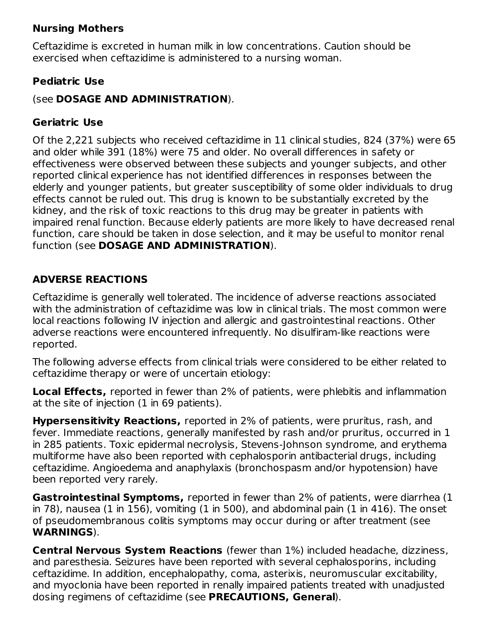### **Nursing Mothers**

Ceftazidime is excreted in human milk in low concentrations. Caution should be exercised when ceftazidime is administered to a nursing woman.

## **Pediatric Use**

### (see **DOSAGE AND ADMINISTRATION**).

## **Geriatric Use**

Of the 2,221 subjects who received ceftazidime in 11 clinical studies, 824 (37%) were 65 and older while 391 (18%) were 75 and older. No overall differences in safety or effectiveness were observed between these subjects and younger subjects, and other reported clinical experience has not identified differences in responses between the elderly and younger patients, but greater susceptibility of some older individuals to drug effects cannot be ruled out. This drug is known to be substantially excreted by the kidney, and the risk of toxic reactions to this drug may be greater in patients with impaired renal function. Because elderly patients are more likely to have decreased renal function, care should be taken in dose selection, and it may be useful to monitor renal function (see **DOSAGE AND ADMINISTRATION**).

## **ADVERSE REACTIONS**

Ceftazidime is generally well tolerated. The incidence of adverse reactions associated with the administration of ceftazidime was low in clinical trials. The most common were local reactions following IV injection and allergic and gastrointestinal reactions. Other adverse reactions were encountered infrequently. No disulfiram-like reactions were reported.

The following adverse effects from clinical trials were considered to be either related to ceftazidime therapy or were of uncertain etiology:

**Local Effects,** reported in fewer than 2% of patients, were phlebitis and inflammation at the site of injection (1 in 69 patients).

**Hypersensitivity Reactions,** reported in 2% of patients, were pruritus, rash, and fever. Immediate reactions, generally manifested by rash and/or pruritus, occurred in 1 in 285 patients. Toxic epidermal necrolysis, Stevens-Johnson syndrome, and erythema multiforme have also been reported with cephalosporin antibacterial drugs, including ceftazidime. Angioedema and anaphylaxis (bronchospasm and/or hypotension) have been reported very rarely.

**Gastrointestinal Symptoms,** reported in fewer than 2% of patients, were diarrhea (1 in 78), nausea (1 in 156), vomiting (1 in 500), and abdominal pain (1 in 416). The onset of pseudomembranous colitis symptoms may occur during or after treatment (see **WARNINGS**).

**Central Nervous System Reactions** (fewer than 1%) included headache, dizziness, and paresthesia. Seizures have been reported with several cephalosporins, including ceftazidime. In addition, encephalopathy, coma, asterixis, neuromuscular excitability, and myoclonia have been reported in renally impaired patients treated with unadjusted dosing regimens of ceftazidime (see **PRECAUTIONS, General**).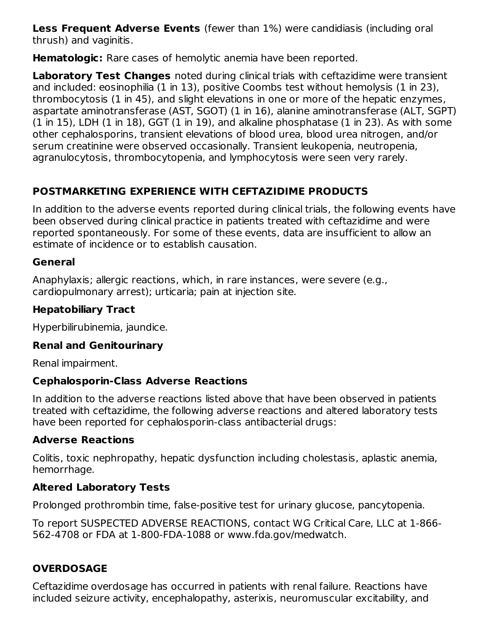**Less Frequent Adverse Events** (fewer than 1%) were candidiasis (including oral thrush) and vaginitis.

**Hematologic:** Rare cases of hemolytic anemia have been reported.

**Laboratory Test Changes** noted during clinical trials with ceftazidime were transient and included: eosinophilia (1 in 13), positive Coombs test without hemolysis (1 in 23), thrombocytosis (1 in 45), and slight elevations in one or more of the hepatic enzymes, aspartate aminotransferase (AST, SGOT) (1 in 16), alanine aminotransferase (ALT, SGPT) (1 in 15), LDH (1 in 18), GGT (1 in 19), and alkaline phosphatase (1 in 23). As with some other cephalosporins, transient elevations of blood urea, blood urea nitrogen, and/or serum creatinine were observed occasionally. Transient leukopenia, neutropenia, agranulocytosis, thrombocytopenia, and lymphocytosis were seen very rarely.

# **POSTMARKETING EXPERIENCE WITH CEFTAZIDIME PRODUCTS**

In addition to the adverse events reported during clinical trials, the following events have been observed during clinical practice in patients treated with ceftazidime and were reported spontaneously. For some of these events, data are insufficient to allow an estimate of incidence or to establish causation.

## **General**

Anaphylaxis; allergic reactions, which, in rare instances, were severe (e.g., cardiopulmonary arrest); urticaria; pain at injection site.

# **Hepatobiliary Tract**

Hyperbilirubinemia, jaundice.

#### **Renal and Genitourinary**

Renal impairment.

## **Cephalosporin-Class Adverse Reactions**

In addition to the adverse reactions listed above that have been observed in patients treated with ceftazidime, the following adverse reactions and altered laboratory tests have been reported for cephalosporin-class antibacterial drugs:

## **Adverse Reactions**

Colitis, toxic nephropathy, hepatic dysfunction including cholestasis, aplastic anemia, hemorrhage.

# **Altered Laboratory Tests**

Prolonged prothrombin time, false-positive test for urinary glucose, pancytopenia.

To report SUSPECTED ADVERSE REACTIONS, contact WG Critical Care, LLC at 1-866- 562-4708 or FDA at 1-800-FDA-1088 or www.fda.gov/medwatch.

# **OVERDOSAGE**

Ceftazidime overdosage has occurred in patients with renal failure. Reactions have included seizure activity, encephalopathy, asterixis, neuromuscular excitability, and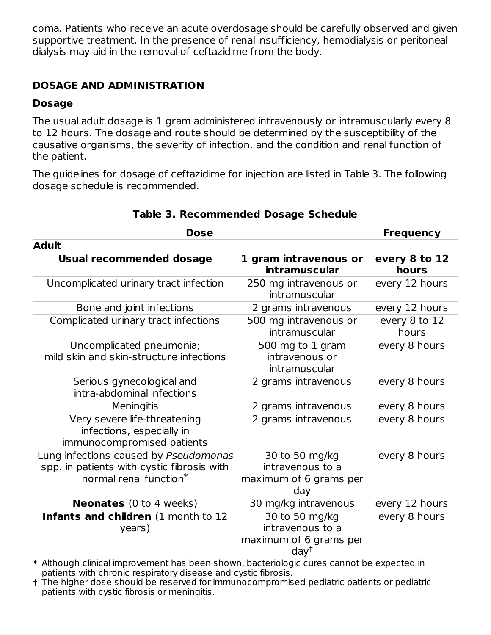coma. Patients who receive an acute overdosage should be carefully observed and given supportive treatment. In the presence of renal insufficiency, hemodialysis or peritoneal dialysis may aid in the removal of ceftazidime from the body.

# **DOSAGE AND ADMINISTRATION**

## **Dosage**

The usual adult dosage is 1 gram administered intravenously or intramuscularly every 8 to 12 hours. The dosage and route should be determined by the susceptibility of the causative organisms, the severity of infection, and the condition and renal function of the patient.

The guidelines for dosage of ceftazidime for injection are listed in Table 3. The following dosage schedule is recommended.

| Dose                                                                                                                      | <b>Frequency</b>                                                                 |                        |
|---------------------------------------------------------------------------------------------------------------------------|----------------------------------------------------------------------------------|------------------------|
| <b>Adult</b>                                                                                                              |                                                                                  |                        |
| <b>Usual recommended dosage</b>                                                                                           | 1 gram intravenous or                                                            | every 8 to 12          |
|                                                                                                                           | intramuscular                                                                    | hours                  |
| Uncomplicated urinary tract infection                                                                                     | 250 mg intravenous or<br>intramuscular                                           | every 12 hours         |
| Bone and joint infections                                                                                                 | 2 grams intravenous                                                              | every 12 hours         |
| Complicated urinary tract infections                                                                                      | 500 mg intravenous or<br>intramuscular                                           | every 8 to 12<br>hours |
| Uncomplicated pneumonia;<br>mild skin and skin-structure infections                                                       | 500 mg to 1 gram<br>intravenous or<br>intramuscular                              | every 8 hours          |
| Serious gynecological and<br>intra-abdominal infections                                                                   | 2 grams intravenous                                                              | every 8 hours          |
| Meningitis                                                                                                                | 2 grams intravenous                                                              | every 8 hours          |
| Very severe life-threatening<br>infections, especially in<br>immunocompromised patients                                   | 2 grams intravenous                                                              | every 8 hours          |
| Lung infections caused by Pseudomonas<br>spp. in patients with cystic fibrosis with<br>normal renal function <sup>*</sup> | 30 to 50 mg/kg<br>intravenous to a<br>maximum of 6 grams per<br>day              | every 8 hours          |
| <b>Neonates</b> (0 to 4 weeks)                                                                                            | 30 mg/kg intravenous                                                             | every 12 hours         |
| Infants and children (1 month to 12<br>years)                                                                             | 30 to 50 mg/kg<br>intravenous to a<br>maximum of 6 grams per<br>day <sup>†</sup> | every 8 hours          |

#### **Table 3. Recommended Dosage Schedule**

\* Although clinical improvement has been shown, bacteriologic cures cannot be expected in patients with chronic respiratory disease and cystic fibrosis.

† The higher dose should be reserved for immunocompromised pediatric patients or pediatric patients with cystic fibrosis or meningitis.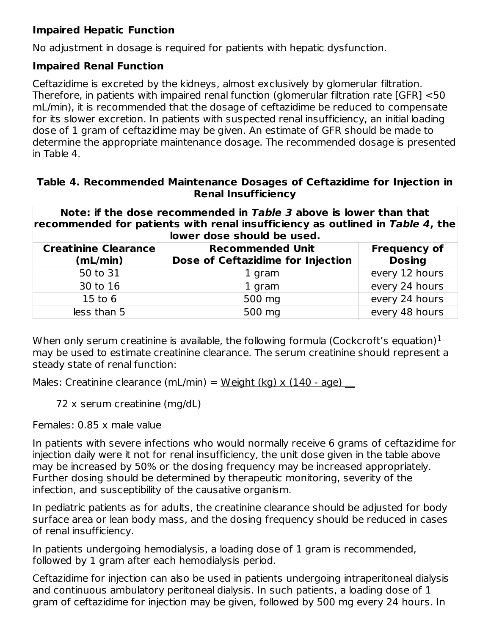# **Impaired Hepatic Function**

No adjustment in dosage is required for patients with hepatic dysfunction.

### **Impaired Renal Function**

Ceftazidime is excreted by the kidneys, almost exclusively by glomerular filtration. Therefore, in patients with impaired renal function (glomerular filtration rate [GFR] <50 mL/min), it is recommended that the dosage of ceftazidime be reduced to compensate for its slower excretion. In patients with suspected renal insufficiency, an initial loading dose of 1 gram of ceftazidime may be given. An estimate of GFR should be made to determine the appropriate maintenance dosage. The recommended dosage is presented in Table 4.

#### **Table 4. Recommended Maintenance Dosages of Ceftazidime for Injection in Renal Insufficiency**

| recommended for patients with renal insufficiency as outlined in Table 4, the |  |
|-------------------------------------------------------------------------------|--|
|                                                                               |  |
| lower dose should be used.                                                    |  |

| <b>Creatinine Clearance</b><br>(mL/min) | <b>Recommended Unit</b><br>Dose of Ceftazidime for Injection | <b>Frequency of</b><br><b>Dosing</b> |
|-----------------------------------------|--------------------------------------------------------------|--------------------------------------|
| 50 to 31                                | 1 gram                                                       | every 12 hours                       |
| 30 to 16                                | 1 gram                                                       | every 24 hours                       |
| 15 to $6$                               | 500 mg                                                       | every 24 hours                       |
| less than 5                             | 500 mg                                                       | every 48 hours                       |

When only serum creatinine is available, the following formula (Cockcroft's equation) $^1$ may be used to estimate creatinine clearance. The serum creatinine should represent a steady state of renal function:

Males: Creatinine clearance (mL/min) =  $Weight (kg) x (140 - age)$ </u>

72 x serum creatinine (mg/dL)

Females: 0.85 x male value

In patients with severe infections who would normally receive 6 grams of ceftazidime for injection daily were it not for renal insufficiency, the unit dose given in the table above may be increased by 50% or the dosing frequency may be increased appropriately. Further dosing should be determined by therapeutic monitoring, severity of the infection, and susceptibility of the causative organism.

In pediatric patients as for adults, the creatinine clearance should be adjusted for body surface area or lean body mass, and the dosing frequency should be reduced in cases of renal insufficiency.

In patients undergoing hemodialysis, a loading dose of 1 gram is recommended, followed by 1 gram after each hemodialysis period.

Ceftazidime for injection can also be used in patients undergoing intraperitoneal dialysis and continuous ambulatory peritoneal dialysis. In such patients, a loading dose of 1 gram of ceftazidime for injection may be given, followed by 500 mg every 24 hours. In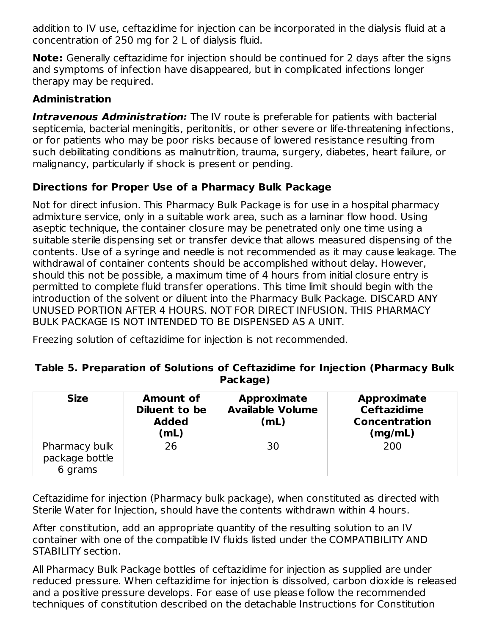addition to IV use, ceftazidime for injection can be incorporated in the dialysis fluid at a concentration of 250 mg for 2 L of dialysis fluid.

**Note:** Generally ceftazidime for injection should be continued for 2 days after the signs and symptoms of infection have disappeared, but in complicated infections longer therapy may be required.

# **Administration**

**Intravenous Administration:** The IV route is preferable for patients with bacterial septicemia, bacterial meningitis, peritonitis, or other severe or life-threatening infections, or for patients who may be poor risks because of lowered resistance resulting from such debilitating conditions as malnutrition, trauma, surgery, diabetes, heart failure, or malignancy, particularly if shock is present or pending.

# **Directions for Proper Use of a Pharmacy Bulk Package**

Not for direct infusion. This Pharmacy Bulk Package is for use in a hospital pharmacy admixture service, only in a suitable work area, such as a laminar flow hood. Using aseptic technique, the container closure may be penetrated only one time using a suitable sterile dispensing set or transfer device that allows measured dispensing of the contents. Use of a syringe and needle is not recommended as it may cause leakage. The withdrawal of container contents should be accomplished without delay. However, should this not be possible, a maximum time of 4 hours from initial closure entry is permitted to complete fluid transfer operations. This time limit should begin with the introduction of the solvent or diluent into the Pharmacy Bulk Package. DISCARD ANY UNUSED PORTION AFTER 4 HOURS. NOT FOR DIRECT INFUSION. THIS PHARMACY BULK PACKAGE IS NOT INTENDED TO BE DISPENSED AS A UNIT.

Freezing solution of ceftazidime for injection is not recommended.

| Table 5. Preparation of Solutions of Ceftazidime for Injection (Pharmacy Bulk |          |  |  |
|-------------------------------------------------------------------------------|----------|--|--|
|                                                                               | Package) |  |  |

| <b>Size</b>                                | <b>Amount of</b><br>Diluent to be<br><b>Added</b><br>(mL) | <b>Approximate</b><br><b>Available Volume</b><br>(mL) | <b>Approximate</b><br><b>Ceftazidime</b><br><b>Concentration</b><br>(mg/mL) |
|--------------------------------------------|-----------------------------------------------------------|-------------------------------------------------------|-----------------------------------------------------------------------------|
| Pharmacy bulk<br>package bottle<br>6 grams | 26                                                        | 30                                                    | 200                                                                         |

Ceftazidime for injection (Pharmacy bulk package), when constituted as directed with Sterile Water for Injection, should have the contents withdrawn within 4 hours.

After constitution, add an appropriate quantity of the resulting solution to an IV container with one of the compatible IV fluids listed under the COMPATIBILITY AND STABILITY section.

All Pharmacy Bulk Package bottles of ceftazidime for injection as supplied are under reduced pressure. When ceftazidime for injection is dissolved, carbon dioxide is released and a positive pressure develops. For ease of use please follow the recommended techniques of constitution described on the detachable Instructions for Constitution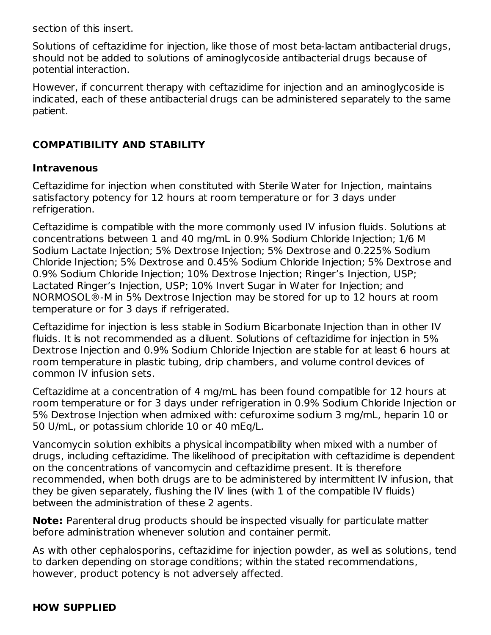section of this insert.

Solutions of ceftazidime for injection, like those of most beta-lactam antibacterial drugs, should not be added to solutions of aminoglycoside antibacterial drugs because of potential interaction.

However, if concurrent therapy with ceftazidime for injection and an aminoglycoside is indicated, each of these antibacterial drugs can be administered separately to the same patient.

# **COMPATIBILITY AND STABILITY**

#### **Intravenous**

Ceftazidime for injection when constituted with Sterile Water for Injection, maintains satisfactory potency for 12 hours at room temperature or for 3 days under refrigeration.

Ceftazidime is compatible with the more commonly used IV infusion fluids. Solutions at concentrations between 1 and 40 mg/mL in 0.9% Sodium Chloride Injection; 1/6 M Sodium Lactate Injection; 5% Dextrose Injection; 5% Dextrose and 0.225% Sodium Chloride Injection; 5% Dextrose and 0.45% Sodium Chloride Injection; 5% Dextrose and 0.9% Sodium Chloride Injection; 10% Dextrose Injection; Ringer's Injection, USP; Lactated Ringer's Injection, USP; 10% Invert Sugar in Water for Injection; and NORMOSOL®-M in 5% Dextrose Injection may be stored for up to 12 hours at room temperature or for 3 days if refrigerated.

Ceftazidime for injection is less stable in Sodium Bicarbonate Injection than in other IV fluids. It is not recommended as a diluent. Solutions of ceftazidime for injection in 5% Dextrose Injection and 0.9% Sodium Chloride Injection are stable for at least 6 hours at room temperature in plastic tubing, drip chambers, and volume control devices of common IV infusion sets.

Ceftazidime at a concentration of 4 mg/mL has been found compatible for 12 hours at room temperature or for 3 days under refrigeration in 0.9% Sodium Chloride Injection or 5% Dextrose Injection when admixed with: cefuroxime sodium 3 mg/mL, heparin 10 or 50 U/mL, or potassium chloride 10 or 40 mEq/L.

Vancomycin solution exhibits a physical incompatibility when mixed with a number of drugs, including ceftazidime. The likelihood of precipitation with ceftazidime is dependent on the concentrations of vancomycin and ceftazidime present. It is therefore recommended, when both drugs are to be administered by intermittent IV infusion, that they be given separately, flushing the IV lines (with 1 of the compatible IV fluids) between the administration of these 2 agents.

**Note:** Parenteral drug products should be inspected visually for particulate matter before administration whenever solution and container permit.

As with other cephalosporins, ceftazidime for injection powder, as well as solutions, tend to darken depending on storage conditions; within the stated recommendations, however, product potency is not adversely affected.

#### **HOW SUPPLIED**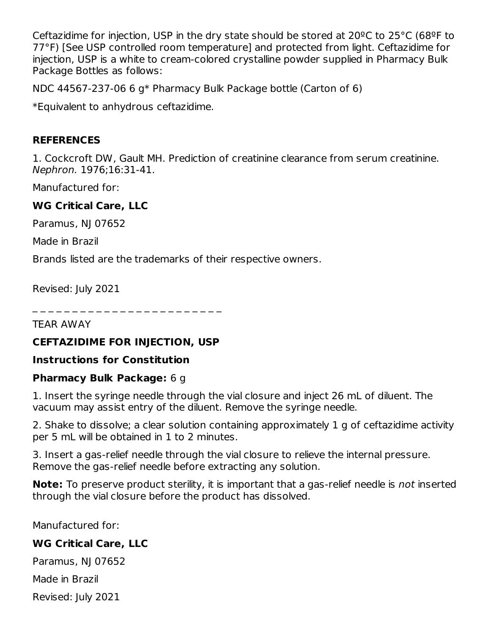Ceftazidime for injection, USP in the dry state should be stored at 20ºC to 25°C (68ºF to 77°F) [See USP controlled room temperature] and protected from light. Ceftazidime for injection, USP is a white to cream-colored crystalline powder supplied in Pharmacy Bulk Package Bottles as follows:

NDC 44567-237-06 6 g\* Pharmacy Bulk Package bottle (Carton of 6)

\*Equivalent to anhydrous ceftazidime.

### **REFERENCES**

1. Cockcroft DW, Gault MH. Prediction of creatinine clearance from serum creatinine. Nephron. 1976;16:31-41.

Manufactured for:

### **WG Critical Care, LLC**

Paramus, NJ 07652

Made in Brazil

Brands listed are the trademarks of their respective owners.

Revised: July 2021

\_ \_ \_ \_ \_ \_ \_ \_ \_ \_ \_ \_ \_ \_ \_ \_ \_ \_ \_ \_ \_ \_ \_ \_

TEAR AWAY

#### **CEFTAZIDIME FOR INJECTION, USP**

#### **Instructions for Constitution**

#### **Pharmacy Bulk Package:** 6 g

1. Insert the syringe needle through the vial closure and inject 26 mL of diluent. The vacuum may assist entry of the diluent. Remove the syringe needle.

2. Shake to dissolve; a clear solution containing approximately 1 g of ceftazidime activity per 5 mL will be obtained in 1 to 2 minutes.

3. Insert a gas-relief needle through the vial closure to relieve the internal pressure. Remove the gas-relief needle before extracting any solution.

**Note:** To preserve product sterility, it is important that a gas-relief needle is not inserted through the vial closure before the product has dissolved.

Manufactured for:

## **WG Critical Care, LLC**

Paramus, NJ 07652

Made in Brazil

Revised: July 2021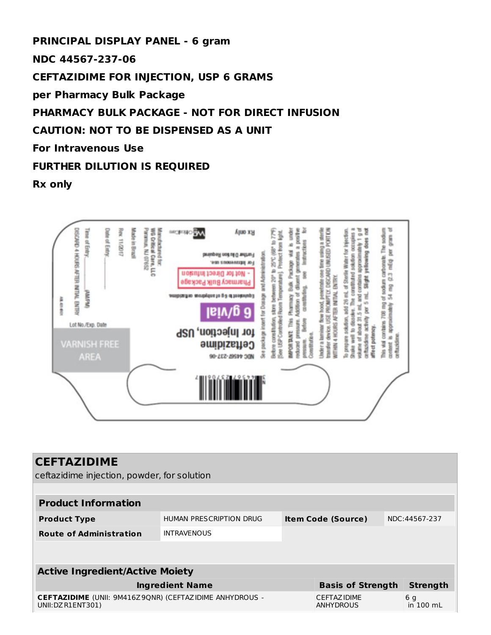**PRINCIPAL DISPLAY PANEL - 6 gram NDC 44567-237-06 CEFTAZIDIME FOR INJECTION, USP 6 GRAMS per Pharmacy Bulk Package PHARMACY BULK PACKAGE - NOT FOR DIRECT INFUSION CAUTION: NOT TO BE DISPENSED AS A UNIT For Intravenous Use FURTHER DILUTION IS REQUIRED**

**Rx only**



| <b>CEFTAZIDIME</b>                                                                                                                                      |  |  |                           |  |               |  |  |
|---------------------------------------------------------------------------------------------------------------------------------------------------------|--|--|---------------------------|--|---------------|--|--|
| ceftazidime injection, powder, for solution                                                                                                             |  |  |                           |  |               |  |  |
|                                                                                                                                                         |  |  |                           |  |               |  |  |
| <b>Product Information</b>                                                                                                                              |  |  |                           |  |               |  |  |
| HUMAN PRESCRIPTION DRUG<br><b>Product Type</b>                                                                                                          |  |  | <b>Item Code (Source)</b> |  | NDC:44567-237 |  |  |
| <b>Route of Administration</b><br><b>INTRAVENOUS</b>                                                                                                    |  |  |                           |  |               |  |  |
|                                                                                                                                                         |  |  |                           |  |               |  |  |
|                                                                                                                                                         |  |  |                           |  |               |  |  |
| <b>Active Ingredient/Active Moiety</b>                                                                                                                  |  |  |                           |  |               |  |  |
| <b>Strength</b><br><b>Basis of Strength</b><br><b>Ingredient Name</b>                                                                                   |  |  |                           |  |               |  |  |
| <b>CEFTAZIDIME</b> (UNII: 9M416Z9ONR) (CEFTAZIDIME ANHYDROUS -<br>CEFTAZ IDIME<br>6 <sub>q</sub><br>in 100 mL<br><b>ANHYDROUS</b><br>UNII: DZ R1ENT301) |  |  |                           |  |               |  |  |